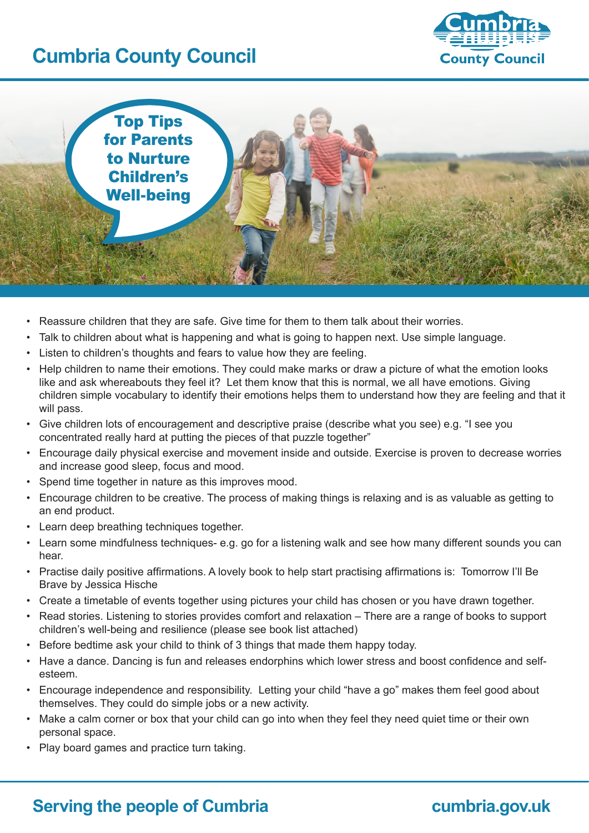# **Cumbria County Council**



Top Tips for Parents to Nurture Children's Well-being

- Reassure children that they are safe. Give time for them to them talk about their worries.
- Talk to children about what is happening and what is going to happen next. Use simple language.
- Listen to children's thoughts and fears to value how they are feeling.
- Help children to name their emotions. They could make marks or draw a picture of what the emotion looks like and ask whereabouts they feel it? Let them know that this is normal, we all have emotions. Giving children simple vocabulary to identify their emotions helps them to understand how they are feeling and that it will pass.
- Give children lots of encouragement and descriptive praise (describe what you see) e.g. "I see you concentrated really hard at putting the pieces of that puzzle together"
- • Encourage daily physical exercise and movement inside and outside. Exercise is proven to decrease worries and increase good sleep, focus and mood.
- Spend time together in nature as this improves mood.
- Encourage children to be creative. The process of making things is relaxing and is as valuable as getting to an end product.
- • Learn deep breathing techniques together.
- Learn some mindfulness techniques- e.g. go for a listening walk and see how many different sounds you can hear.
- • Practise daily positive affirmations. A lovely book to help start practising affirmations is: Tomorrow I'll Be Brave by Jessica Hische
- Create a timetable of events together using pictures your child has chosen or you have drawn together.
- Read stories. Listening to stories provides comfort and relaxation There are a range of books to support children's well-being and resilience (please see book list attached)
- Before bedtime ask your child to think of 3 things that made them happy today.
- Have a dance. Dancing is fun and releases endorphins which lower stress and boost confidence and selfesteem.
- • Encourage independence and responsibility. Letting your child "have a go" makes them feel good about themselves. They could do simple jobs or a new activity.
- Make a calm corner or box that your child can go into when they feel they need quiet time or their own personal space.
- • Play board games and practice turn taking.

# **Serving the people of Cumbria <b>cumbria cumbria.gov.uk**